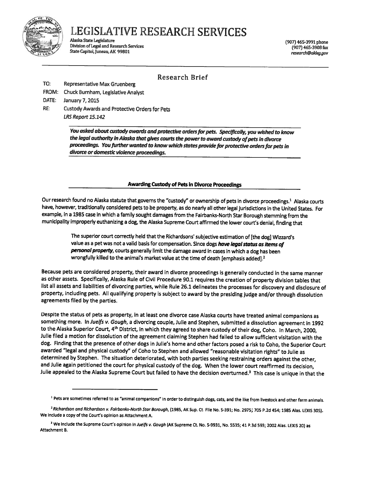

## LEGISLATIVE RESEARCH SERVICES

Alaska State Legislature<br>Division of Legal and Research Services<br>State Capitol, Juneau, AK 99801 research@akleg.gov

## Research Brief

TO: Representative Max Gruenberg

FROM: Chuck Burnham, Legislative Analyst

DATE: January 7, 2015

RE: Custody Awards and Protective Orders for Pets LRS Report 15.142

> You asked about custody awards and protective orders for pets. Specifically, you wished to know the legal authority in Alaska that gives courts the power to award custody of pets in divorce proceedings. You further wanted to know which states provide for protective orders for pets in divorce or domestic violence proceedings.

## Awarding Custody of Pets in Divorce Proceedings

Our research found no Alaska statute that governs the "custody" or ownership of pets in divorce proceedings.<sup>1</sup> Alaska courts have, however, traditionally considered pets to be property, as do nearly all other legal jurisdictions in the United States. For example, in <sup>a</sup> <sup>1985</sup> case in which <sup>a</sup> family sought damages from the Fairbanks-North Star Borough stemming from the municipality improperly euthanizing <sup>a</sup> dog, the Alaska Supreme Court affirmed the lower court's denial, finding that

> The superior court correctly held that the Richardsons' subjective estimation of [the dog] Wizzard's value as a pet was not a valid basis for compensation. Since dogs have legal status as items of personal property, courts generally limit the damage award in cases in which a dog has been wrongfully killed to the animal's market value at the time of death [emphasis added]. <sup>2</sup>

Because pets are considered property, their award in divorce proceedings is generally conducted in the same manner as other assets. Specifically, Alaska Rule of Civil Procedure 90.1 requires the creation of property division tables that list all assets and liabilities of divorcing parties, while Rule 26.1 delineates the processes for discovery and disclosure of property, including pets. All qualifying property is subject to award by the presiding judge and/or through dissolution agreements filed by the parties.

Despite the status of pets as property, in at least one divorce case Alaska courts have treated animal companions as something more. In Juelfs v. Gough, a divorcing couple, Julie and Stephen, submitted a dissolution agreement in 1992 to the Alaska Superior Court, 4<sup>th</sup> District, in which they agreed to share custody of their dog, Coho. In March, 2000, Julie filed <sup>a</sup> motion for dissolution of the agreement claiming Stephen had failed to allow sufficient visitation with the dog. Finding that the presence of other dogs in Julie's home and other factors posed <sup>a</sup> risk to Coho, the Superior Court awarded "legal and <sup>p</sup>hysical custody" of Coho to Stephen and allowed "reasonable visitation rights" to Julie as determined by Stephen. The situation deteriorated, with both parties seeking restraining orders against the other, and Julie again petitioned the court for <sup>p</sup>hysical custody of the dog. When the lower court reaffirmed its decision, Julie appealed to the Alaska Supreme Court but failed to have the decision overturned.<sup>3</sup> This case is unique in that the

<sup>&</sup>lt;sup>1</sup> Pets are sometimes referred to as "animal companions" in order to distinguish dogs, cats, and the like from livestock and other farm animals.

<sup>&</sup>lt;sup>2</sup> Richardson and Richardson v. Fairbanks-North Star Borough, (1985, AK Sup. Ct. File No. S-391; No. 2975; 705 P.2d 454; 1985 Alas. LEXIS 305). we include <sup>a</sup> copy of the Court's opinion as Attachment A.

<sup>&</sup>lt;sup>3</sup> We include the Supreme Court's opinion in Juelfs v. Gough (AK Supreme Ct. No. S-9931, No. 5535; 41 P.3d 593; 2002 Alas. LEXIS 20) as Attachment B.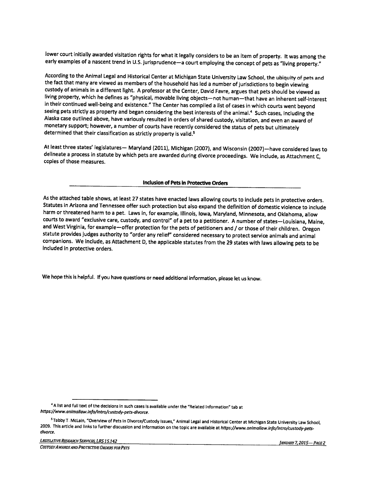lower court initially awarded visitation rights for what it legally considers to be an item of property. It was among the<br>early examples of a nascent trend in U.S. jurisprudence—a court employing the concept of pets as "li

According to the Animal Legal and Historical Center at Michigan State University Law School, the ubiquity of pets and<br>the fact that many are viewed as members of the household has led a number of jurisdictions to begin vie seeing pets strictly as property and began considering the best interests of the animal.<sup>4</sup> Such cases, including the<br>Alaska case outlined above, have variously resulted in orders of shared custody, visitation, and even an monetary support; however, a number of courts have recently considered the status of pets but ultimately determined that their classification as strictly property is valid.<sup>5</sup>

At least three states' legislatures— Maryland (2011), Michigan (2007), and Wisconsin (2007)—have considered laws to delineate <sup>a</sup> process in statute by which pets are awarded during divorce proceedings. We include, as Attachment C, copies of those measures.

## Inclusion of Pets in Protective Orders

As the attached table shows, at least 27 states have enacted laws allowing courts to include pets in protective orders.<br>Statutes in Arizona and Tennessee offer such protection but also expand the definition of domestic vio harm or threatened harm to a pet. Laws in, for example, Illinois, Iowa, Maryland, Minnesota, and Oklahoma, allow<br>courts to award "exclusive care, custody, and control" of a pet to a petitioner. A number of states—Louisiana and West Virginia, for example-offer protection for the pets of petitioners and / or those of their children. Oregon statute provides judges authority to "order any relief" considered necessary to protect service animals and animal companions. We include, as Attachment D, the applicable statutes from the 29 states with laws allowing pets to be<br>included in protective orders.

We hope this is helpful. If you have questions or need additional information, <sup>p</sup>lease let us know.

<sup>A</sup> list and full text of the decisions in such cases is available under the "Related Information" tab at https://www. animallaw.info/intro/custody-pets-dlvorce.

<sup>&</sup>lt;sup>5</sup> Tabby T. McLain, "Overview of Pets in Divorce/Custody Issues," Animal Legal and Historical Center at Michigan State University Law School, 2009. This article and links to further discussion and information on the topic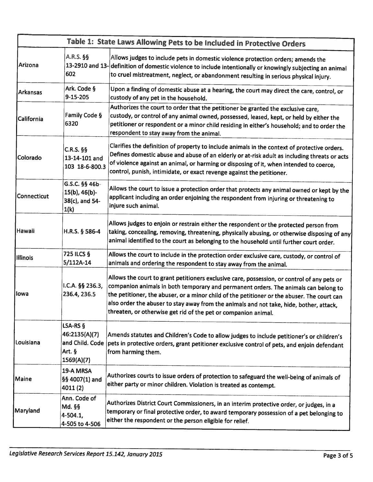|                 |                                                                                  | Table 1: State Laws Allowing Pets to be Included in Protective Orders                                                                                                                                                                                                                                                                                                                                                                          |
|-----------------|----------------------------------------------------------------------------------|------------------------------------------------------------------------------------------------------------------------------------------------------------------------------------------------------------------------------------------------------------------------------------------------------------------------------------------------------------------------------------------------------------------------------------------------|
| Arizona         | A.R.S. §§<br>602                                                                 | Allows judges to include pets in domestic violence protection orders; amends the<br>13-2910 and 13-definition of domestic violence to include intentionally or knowingly subjecting an animal<br>to cruel mistreatment, neglect, or abandonment resulting in serious physical injury.                                                                                                                                                          |
| Arkansas        | Ark. Code §<br>$9 - 15 - 205$                                                    | Upon a finding of domestic abuse at a hearing, the court may direct the care, control, or<br>custody of any pet in the household.                                                                                                                                                                                                                                                                                                              |
| California      | Family Code §<br>6320                                                            | Authorizes the court to order that the petitioner be granted the exclusive care,<br>custody, or control of any animal owned, possessed, leased, kept, or held by either the<br>petitioner or respondent or a minor child residing in either's household; and to order the<br>respondent to stay away from the animal.                                                                                                                          |
| Colorado        | $C.R.S.$ §§<br>13-14-101 and<br>103 18-6-800.3                                   | Clarifies the definition of property to include animals in the context of protective orders.<br>Defines domestic abuse and abuse of an elderly or at-risk adult as including threats or acts<br>of violence against an animal, or harming or disposing of it, when intended to coerce,<br>control, punish, intimidate, or exact revenge against the petitioner.                                                                                |
| Connecticut     | G.S.C. §§ 46b-<br>15(b), 46(b)-<br>38(c), and 54-<br>1(k)                        | Allows the court to issue a protection order that protects any animal owned or kept by the<br>applicant including an order enjoining the respondent from injuring or threatening to<br>injure such animal.                                                                                                                                                                                                                                     |
| Hawaii          | H.R.S. § 586-4                                                                   | Allows judges to enjoin or restrain either the respondent or the protected person from<br>taking, concealing, removing, threatening, physically abusing, or otherwise disposing of any<br>animal identified to the court as belonging to the household until further court order.                                                                                                                                                              |
| <b>Illinois</b> | 725 ILCS §<br>5/112A-14                                                          | Allows the court to include in the protection order exclusive care, custody, or control of<br>animals and ordering the respondent to stay away from the animal.                                                                                                                                                                                                                                                                                |
| llowa           | I.C.A. §§ 236.3,<br>236.4, 236.5                                                 | Allows the court to grant petitioners exclusive care, possession, or control of any pets or<br>companion animals in both temporary and permanent orders. The animals can belong to<br>the petitioner, the abuser, or a minor child of the petitioner or the abuser. The court can<br>also order the abuser to stay away from the animals and not take, hide, bother, attack,<br>threaten, or otherwise get rid of the pet or companion animal. |
| Louisiana       | LSA-RS §<br>46:2135(A)(7)<br>and Child. Code<br>Art. $\frac{1}{2}$<br>1569(A)(7) | Amends statutes and Children's Code to allow judges to include petitioner's or children's<br>pets in protective orders, grant petitioner exclusive control of pets, and enjoin defendant<br>from harming them.                                                                                                                                                                                                                                 |
| Maine           | 19-A MRSA<br>§§ 4007(1) and<br>4011(2)                                           | Authorizes courts to issue orders of protection to safeguard the well-being of animals of<br>either party or minor children. Violation is treated as contempt.                                                                                                                                                                                                                                                                                 |
| Maryland        | Ann. Code of<br>Md. §§<br>4-504.1,<br>4-505 to 4-506                             | Authorizes District Court Commissioners, in an interim protective order, or judges, in a<br>temporary or final protective order, to award temporary possession of a pet belonging to<br>either the respondent or the person eligible for relief.                                                                                                                                                                                               |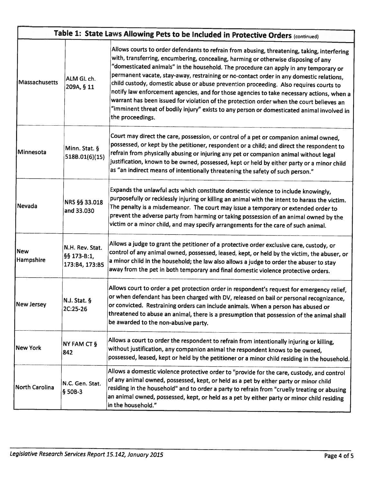| Table 1: State Laws Allowing Pets to be Included in Protective Orders (continued) |                                                  |                                                                                                                                                                                                                                                                                                                                                                                                                                                                                                                                                                                                                                                                                                                                                                          |  |  |
|-----------------------------------------------------------------------------------|--------------------------------------------------|--------------------------------------------------------------------------------------------------------------------------------------------------------------------------------------------------------------------------------------------------------------------------------------------------------------------------------------------------------------------------------------------------------------------------------------------------------------------------------------------------------------------------------------------------------------------------------------------------------------------------------------------------------------------------------------------------------------------------------------------------------------------------|--|--|
| Massachusetts                                                                     | ALM GL ch.<br>209A, § 11                         | Allows courts to order defendants to refrain from abusing, threatening, taking, interfering<br>with, transferring, encumbering, concealing, harming or otherwise disposing of any<br>"domesticated animals" in the household. The procedure can apply in any temporary or<br>permanent vacate, stay-away, restraining or no-contact order in any domestic relations,<br>child custody, domestic abuse or abuse prevention proceeding. Also requires courts to<br>notify law enforcement agencies, and for those agencies to take necessary actions, when a<br>warrant has been issued for violation of the protection order when the court believes an<br>"imminent threat of bodily injury" exists to any person or domesticated animal involved in<br>the proceedings. |  |  |
| <b>Minnesota</b>                                                                  | Minn. Stat. §<br>518B.01(6)(15)                  | Court may direct the care, possession, or control of a pet or companion animal owned,<br>possessed, or kept by the petitioner, respondent or a child; and direct the respondent to<br>refrain from physically abusing or injuring any pet or companion animal without legal<br>justification, known to be owned, possessed, kept or held by either party or a minor child<br>as "an indirect means of intentionally threatening the safety of such person."                                                                                                                                                                                                                                                                                                              |  |  |
| Nevada                                                                            | NRS §§ 33.018<br>and 33.030                      | Expands the unlawful acts which constitute domestic violence to include knowingly,<br>purposefully or recklessly injuring or killing an animal with the intent to harass the victim.<br>The penalty is a misdemeanor. The court may issue a temporary or extended order to<br>prevent the adverse party from harming or taking possession of an animal owned by the<br>victim or a minor child, and may specify arrangements for the care of such animal.                                                                                                                                                                                                                                                                                                                |  |  |
| <b>New</b><br>Hampshire                                                           | N.H. Rev. Stat.<br>§§ 173-B:1,<br>173:B4, 173:B5 | Allows a judge to grant the petitioner of a protective order exclusive care, custody, or<br>control of any animal owned, possessed, leased, kept, or held by the victim, the abuser, or<br>a minor child in the household; the law also allows a judge to order the abuser to stay<br>away from the pet in both temporary and final domestic violence protective orders.                                                                                                                                                                                                                                                                                                                                                                                                 |  |  |
| <b>New Jersey</b>                                                                 | N.J. Stat. §<br>2C:25-26                         | Allows court to order a pet protection order in respondent's request for emergency relief,<br>or when defendant has been charged with DV, released on bail or personal recognizance.<br>or convicted. Restraining orders can include animals. When a person has abused or<br>threatened to abuse an animal, there is a presumption that possession of the animal shall<br>be awarded to the non-abusive party.                                                                                                                                                                                                                                                                                                                                                           |  |  |
| <b>New York</b>                                                                   | <b>NY FAM CT §</b><br>842                        | Allows a court to order the respondent to refrain from intentionally injuring or killing,<br>without justification, any companion animal the respondent knows to be owned,<br>possessed, leased, kept or held by the petitioner or a minor child residing in the household.                                                                                                                                                                                                                                                                                                                                                                                                                                                                                              |  |  |
| <b>North Carolina</b>                                                             | N.C. Gen. Stat.<br>§ 50B-3                       | Allows a domestic violence protective order to "provide for the care, custody, and control<br>of any animal owned, possessed, kept, or held as a pet by either party or minor child<br>residing in the household" and to order a party to refrain from "cruelly treating or abusing<br>an animal owned, possessed, kept, or held as a pet by either party or minor child residing<br>in the household."                                                                                                                                                                                                                                                                                                                                                                  |  |  |